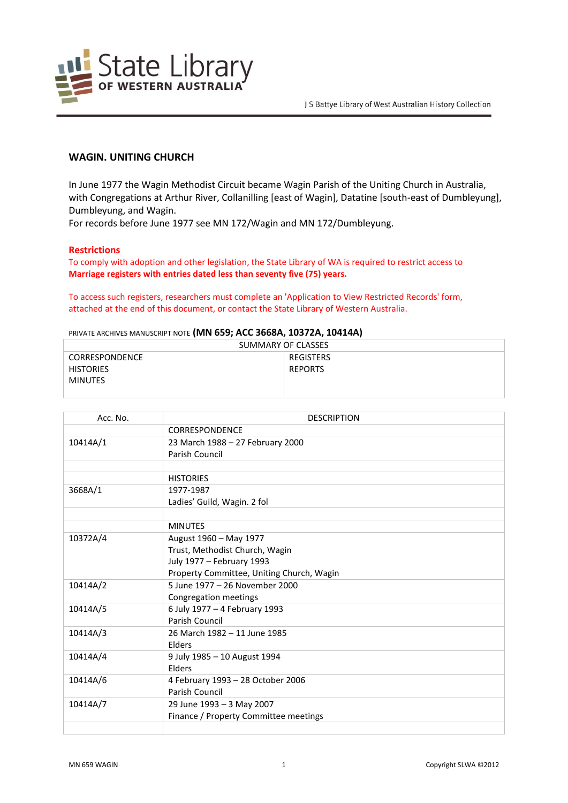

# **WAGIN. UNITING CHURCH**

In June 1977 the Wagin Methodist Circuit became Wagin Parish of the Uniting Church in Australia, with Congregations at Arthur River, Collanilling [east of Wagin], Datatine [south-east of Dumbleyung], Dumbleyung, and Wagin.

For records before June 1977 see MN 172/Wagin and MN 172/Dumbleyung.

#### **Restrictions**

To comply with adoption and other legislation, the State Library of WA is required to restrict access to **Marriage registers with entries dated less than seventy five (75) years.**

To access such registers, researchers must complete an 'Application to View Restricted Records' form, attached at the end of this document, or contact the State Library of Western Australia.

#### PRIVATE ARCHIVES MANUSCRIPT NOTE **(MN 659; ACC 3668A, 10372A, 10414A)**

| SUMMARY OF CLASSES    |                |  |
|-----------------------|----------------|--|
| <b>CORRESPONDENCE</b> | REGISTERS      |  |
| <b>HISTORIES</b>      | <b>REPORTS</b> |  |
| <b>MINUTES</b>        |                |  |
|                       |                |  |

| Acc. No. | <b>DESCRIPTION</b>                        |
|----------|-------------------------------------------|
|          | <b>CORRESPONDENCE</b>                     |
| 10414A/1 | 23 March 1988 - 27 February 2000          |
|          | Parish Council                            |
|          |                                           |
|          | <b>HISTORIES</b>                          |
| 3668A/1  | 1977-1987                                 |
|          | Ladies' Guild, Wagin. 2 fol               |
|          |                                           |
|          | <b>MINUTES</b>                            |
| 10372A/4 | August 1960 - May 1977                    |
|          | Trust, Methodist Church, Wagin            |
|          | July 1977 - February 1993                 |
|          | Property Committee, Uniting Church, Wagin |
| 10414A/2 | 5 June 1977 - 26 November 2000            |
|          | Congregation meetings                     |
| 10414A/5 | 6 July 1977 - 4 February 1993             |
|          | Parish Council                            |
| 10414A/3 | 26 March 1982 - 11 June 1985              |
|          | <b>Flders</b>                             |
| 10414A/4 | 9 July 1985 - 10 August 1994              |
|          | Elders                                    |
| 10414A/6 | 4 February 1993 - 28 October 2006         |
|          | Parish Council                            |
| 10414A/7 | 29 June 1993 - 3 May 2007                 |
|          | Finance / Property Committee meetings     |
|          |                                           |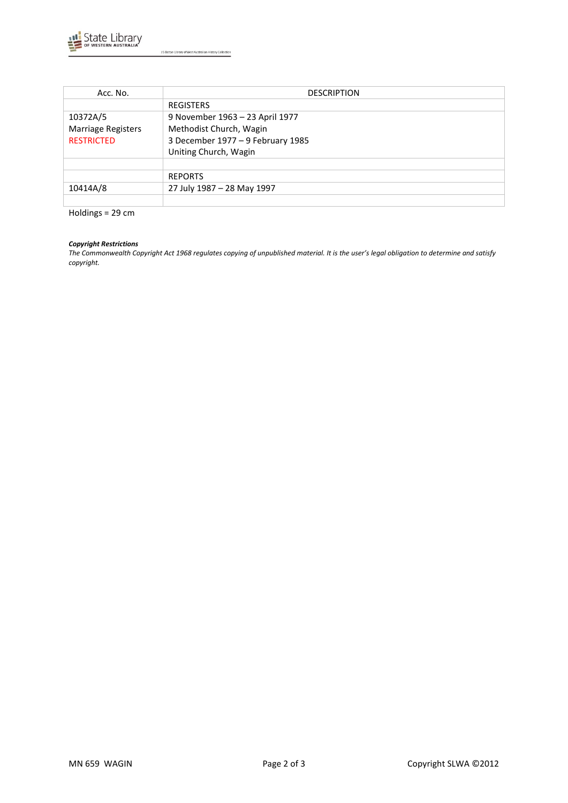

J S Battye Library of West Australian History Collection

| Acc. No.           | <b>DESCRIPTION</b>                |
|--------------------|-----------------------------------|
|                    | <b>REGISTERS</b>                  |
| 10372A/5           | 9 November 1963 - 23 April 1977   |
| Marriage Registers | Methodist Church, Wagin           |
| <b>RESTRICTED</b>  | 3 December 1977 - 9 February 1985 |
|                    | Uniting Church, Wagin             |
|                    |                                   |
|                    | <b>REPORTS</b>                    |
| 10414A/8           | 27 July 1987 - 28 May 1997        |
|                    |                                   |

Holdings = 29 cm

#### *Copyright Restrictions*

*The Commonwealth Copyright Act 1968 regulates copying of unpublished material. It is the user's legal obligation to determine and satisfy copyright.*